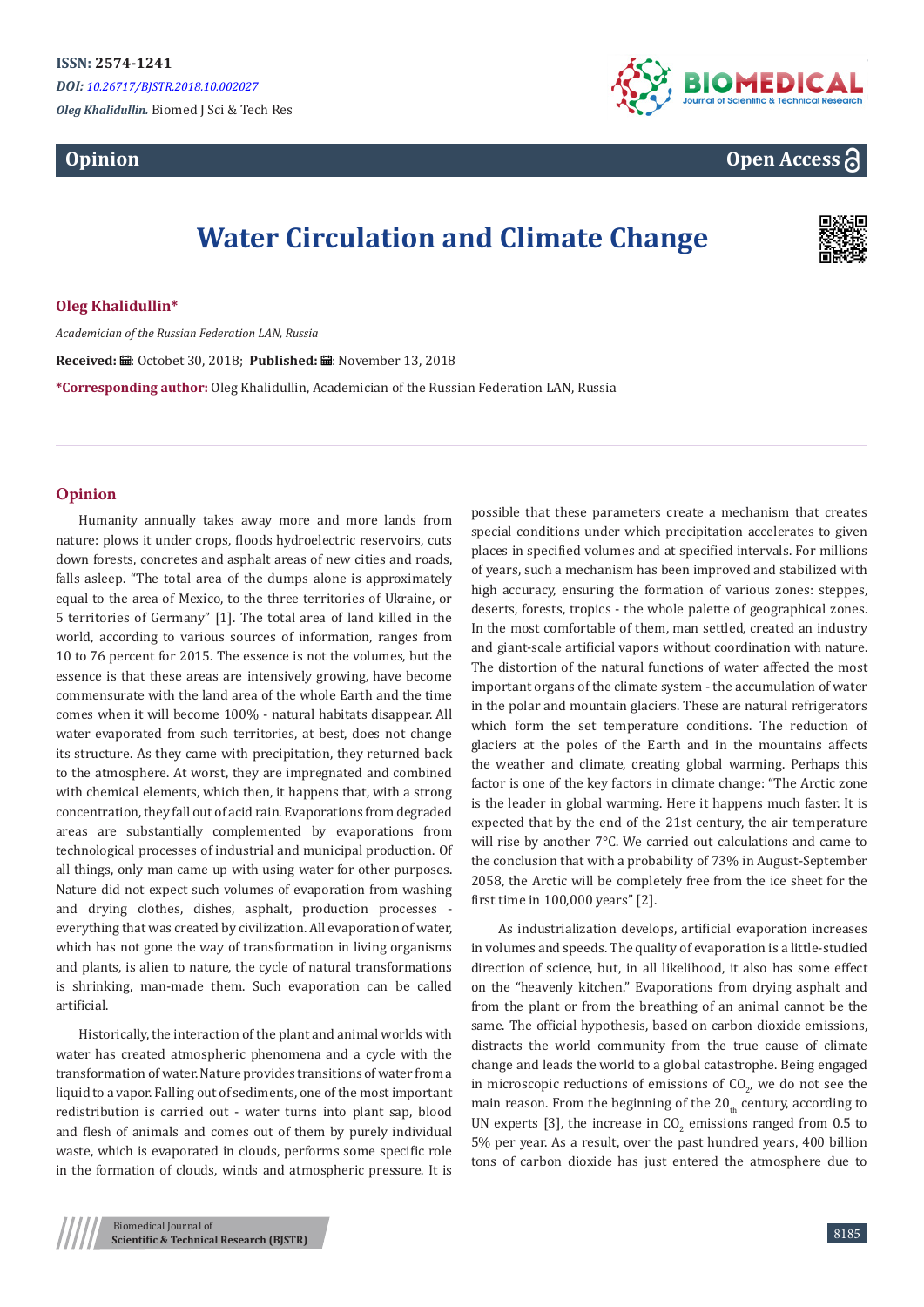# **Opinion**



# **Open Access**

# **Water Circulation and Climate Change**



## **Oleg Khalidullin\***

*Academician of the Russian Federation LAN, Russia*

Received: *a* : Octobet 30, 2018; Published: a : November 13, 2018

**\*Corresponding author:** Oleg Khalidullin, Academician of the Russian Federation LAN, Russia

## **Opinion**

Humanity annually takes away more and more lands from nature: plows it under crops, floods hydroelectric reservoirs, cuts down forests, concretes and asphalt areas of new cities and roads, falls asleep. "The total area of the dumps alone is approximately equal to the area of Mexico, to the three territories of Ukraine, or 5 territories of Germany" [1]. The total area of land killed in the world, according to various sources of information, ranges from 10 to 76 percent for 2015. The essence is not the volumes, but the essence is that these areas are intensively growing, have become commensurate with the land area of the whole Earth and the time comes when it will become 100% - natural habitats disappear. All water evaporated from such territories, at best, does not change its structure. As they came with precipitation, they returned back to the atmosphere. At worst, they are impregnated and combined with chemical elements, which then, it happens that, with a strong concentration, they fall out of acid rain. Evaporations from degraded areas are substantially complemented by evaporations from technological processes of industrial and municipal production. Of all things, only man came up with using water for other purposes. Nature did not expect such volumes of evaporation from washing and drying clothes, dishes, asphalt, production processes everything that was created by civilization. All evaporation of water, which has not gone the way of transformation in living organisms and plants, is alien to nature, the cycle of natural transformations is shrinking, man-made them. Such evaporation can be called artificial.

Historically, the interaction of the plant and animal worlds with water has created atmospheric phenomena and a cycle with the transformation of water. Nature provides transitions of water from a liquid to a vapor. Falling out of sediments, one of the most important redistribution is carried out - water turns into plant sap, blood and flesh of animals and comes out of them by purely individual waste, which is evaporated in clouds, performs some specific role in the formation of clouds, winds and atmospheric pressure. It is

possible that these parameters create a mechanism that creates special conditions under which precipitation accelerates to given places in specified volumes and at specified intervals. For millions of years, such a mechanism has been improved and stabilized with high accuracy, ensuring the formation of various zones: steppes, deserts, forests, tropics - the whole palette of geographical zones. In the most comfortable of them, man settled, created an industry and giant-scale artificial vapors without coordination with nature. The distortion of the natural functions of water affected the most important organs of the climate system - the accumulation of water in the polar and mountain glaciers. These are natural refrigerators which form the set temperature conditions. The reduction of glaciers at the poles of the Earth and in the mountains affects the weather and climate, creating global warming. Perhaps this factor is one of the key factors in climate change: "The Arctic zone is the leader in global warming. Here it happens much faster. It is expected that by the end of the 21st century, the air temperature will rise by another 7°C. We carried out calculations and came to the conclusion that with a probability of 73% in August-September 2058, the Arctic will be completely free from the ice sheet for the first time in 100,000 years" [2].

 As industrialization develops, artificial evaporation increases in volumes and speeds. The quality of evaporation is a little-studied direction of science, but, in all likelihood, it also has some effect on the "heavenly kitchen." Evaporations from drying asphalt and from the plant or from the breathing of an animal cannot be the same. The official hypothesis, based on carbon dioxide emissions, distracts the world community from the true cause of climate change and leads the world to a global catastrophe. Being engaged in microscopic reductions of emissions of  $\mathsf{CO}_{2'}$  we do not see the main reason. From the beginning of the  $20<sub>th</sub>$  century, according to UN experts [3], the increase in  $CO_2$  emissions ranged from 0.5 to 5% per year. As a result, over the past hundred years, 400 billion tons of carbon dioxide has just entered the atmosphere due to